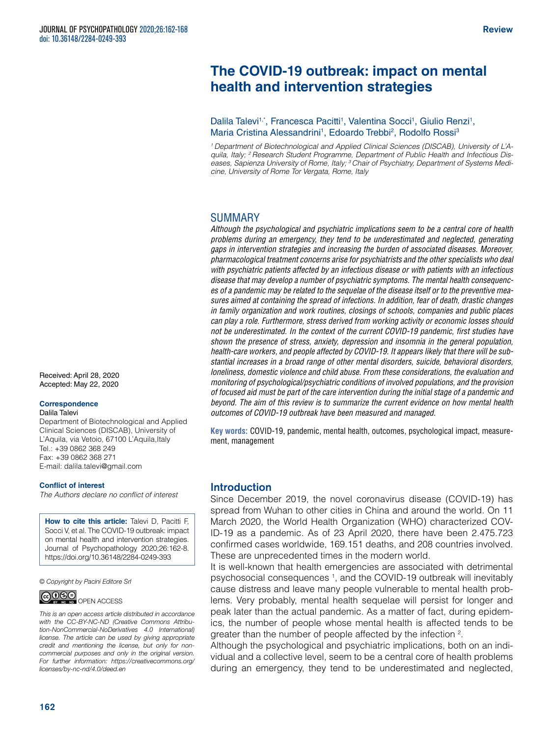# **The COVID-19 outbreak: impact on mental health and intervention strategies**

## Dalila Talevi<sup>1,\*</sup>, Francesca Pacitti<sup>1</sup>, Valentina Socci<sup>1</sup>, Giulio Renzi<sup>1</sup>, Maria Cristina Alessandrini<sup>1</sup>, Edoardo Trebbi<sup>2</sup>, Rodolfo Rossi<sup>3</sup>

<sup>1</sup> Department of Biotechnological and Applied Clinical Sciences (DISCAB), University of L'A*quila, Italy; 2 Research Student Programme, Department of Public Health and Infectious Diseases, Sapienza University of Rome, Italy; 3 Chair of Psychiatry, Department of Systems Medicine, University of Rome Tor Vergata, Rome, Italy*

## SUMMARY

*Although the psychological and psychiatric implications seem to be a central core of health problems during an emergency, they tend to be underestimated and neglected, generating gaps in intervention strategies and increasing the burden of associated diseases. Moreover, pharmacological treatment concerns arise for psychiatrists and the other specialists who deal with psychiatric patients affected by an infectious disease or with patients with an infectious disease that may develop a number of psychiatric symptoms. The mental health consequences of a pandemic may be related to the sequelae of the disease itself or to the preventive measures aimed at containing the spread of infections. In addition, fear of death, drastic changes in family organization and work routines, closings of schools, companies and public places can play a role. Furthermore, stress derived from working activity or economic losses should not be underestimated. In the context of the current COVID-19 pandemic, first studies have shown the presence of stress, anxiety, depression and insomnia in the general population, health-care workers, and people affected by COVID-19. It appears likely that there will be substantial increases in a broad range of other mental disorders, suicide, behavioral disorders, loneliness, domestic violence and child abuse. From these considerations, the evaluation and monitoring of psychological/psychiatric conditions of involved populations, and the provision of focused aid must be part of the care intervention during the initial stage of a pandemic and beyond. The aim of this review is to summarize the current evidence on how mental health outcomes of COVID-19 outbreak have been measured and managed.*

**Key words:** COVID-19, pandemic, mental health, outcomes, psychological impact, measurement, management

# Introduction

Since December 2019, the novel coronavirus disease (COVID-19) has spread from Wuhan to other cities in China and around the world. On 11 March 2020, the World Health Organization (WHO) characterized COV-ID-19 as a pandemic. As of 23 April 2020, there have been 2.475.723 confirmed cases worldwide, 169.151 deaths, and 208 countries involved. These are unprecedented times in the modern world.

It is well-known that health emergencies are associated with detrimental psychosocial consequences 1 , and the COVID-19 outbreak will inevitably cause distress and leave many people vulnerable to mental health problems. Very probably, mental health sequelae will persist for longer and peak later than the actual pandemic. As a matter of fact, during epidemics, the number of people whose mental health is affected tends to be greater than the number of people affected by the infection <sup>2</sup>.

Although the psychological and psychiatric implications, both on an individual and a collective level, seem to be a central core of health problems during an emergency, they tend to be underestimated and neglected,

Received: April 28, 2020 Accepted: May 22, 2020

#### **Correspondence**

Dalila Talevi

Department of Biotechnological and Applied Clinical Sciences (DISCAB), University of L'Aquila, via Vetoio, 67100 L'Aquila, Italy Tel.: +39 0862 368 249 Fax: +39 0862 368 271 E-mail: [dalila.talevi@gmail.com](mailto:dalila.talevi@gmail.com)

#### **Conflict of interest**

*The Authors declare no conflict of interest*

**How to cite this article:** Talevi D, Pacitti F, Socci V, et al. The COVID-19 outbreak: impact on mental health and intervention strategies. Journal of Psychopathology 2020;26:162-8. <https://doi.org/10.36148/2284-0249-393>

*© Copyright by Pacini Editore Srl*



*This is an open access article distributed in accordance with the CC-BY-NC-ND (Creative Commons Attribution-NonCommercial-NoDerivatives 4.0 International) license. The article can be used by giving appropriate credit and mentioning the license, but only for noncommercial purposes and only in the original version. For further information: [https://creativecommons.org/](https://creativecommons.org/licenses/by-nc-nd/4.0/deed.en) [licenses/by-nc-nd/4.0/deed.en](https://creativecommons.org/licenses/by-nc-nd/4.0/deed.en)*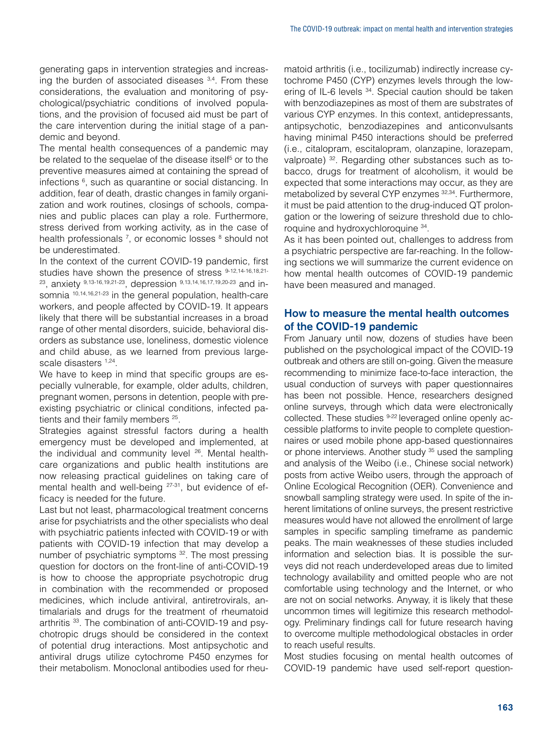generating gaps in intervention strategies and increasing the burden of associated diseases  $3,4$ . From these considerations, the evaluation and monitoring of psychological/psychiatric conditions of involved populations, and the provision of focused aid must be part of the care intervention during the initial stage of a pandemic and beyond.

The mental health consequences of a pandemic may be related to the sequelae of the disease itself<sup>5</sup> or to the preventive measures aimed at containing the spread of infections <sup>6</sup>, such as quarantine or social distancing. In addition, fear of death, drastic changes in family organization and work routines, closings of schools, companies and public places can play a role. Furthermore, stress derived from working activity, as in the case of health professionals <sup>7</sup>, or economic losses <sup>8</sup> should not be underestimated.

In the context of the current COVID-19 pandemic, first studies have shown the presence of stress 9-12,14-16,18,21- 23, anxiety 9,13-16,19,21-23, depression 9,13,14,16,17,19,20-23 and insomnia <sup>10,14,16,21-23</sup> in the general population, health-care workers, and people affected by COVID-19. It appears likely that there will be substantial increases in a broad range of other mental disorders, suicide, behavioral disorders as substance use, loneliness, domestic violence and child abuse, as we learned from previous largescale disasters 1,24.

We have to keep in mind that specific groups are especially vulnerable, for example, older adults, children, pregnant women, persons in detention, people with preexisting psychiatric or clinical conditions, infected patients and their family members 25.

Strategies against stressful factors during a health emergency must be developed and implemented, at the individual and community level <sup>26</sup>. Mental healthcare organizations and public health institutions are now releasing practical guidelines on taking care of mental health and well-being <sup>27-31</sup>, but evidence of efficacy is needed for the future.

Last but not least, pharmacological treatment concerns arise for psychiatrists and the other specialists who deal with psychiatric patients infected with COVID-19 or with patients with COVID-19 infection that may develop a number of psychiatric symptoms 32. The most pressing question for doctors on the front-line of anti-COVID-19 is how to choose the appropriate psychotropic drug in combination with the recommended or proposed medicines, which include antiviral, antiretrovirals, antimalarials and drugs for the treatment of rheumatoid arthritis 33. The combination of anti-COVID-19 and psychotropic drugs should be considered in the context of potential drug interactions. Most antipsychotic and antiviral drugs utilize cytochrome P450 enzymes for their metabolism. Monoclonal antibodies used for rheumatoid arthritis (i.e., tocilizumab) indirectly increase cytochrome P450 (CYP) enzymes levels through the lowering of IL-6 levels <sup>34</sup>. Special caution should be taken with benzodiazepines as most of them are substrates of various CYP enzymes. In this context, antidepressants, antipsychotic, benzodiazepines and anticonvulsants having minimal P450 interactions should be preferred (i.e., citalopram, escitalopram, olanzapine, lorazepam, valproate) <sup>32</sup>. Regarding other substances such as tobacco, drugs for treatment of alcoholism, it would be expected that some interactions may occur, as they are metabolized by several CYP enzymes 32,34. Furthermore, it must be paid attention to the drug-induced QT prolongation or the lowering of seizure threshold due to chloroquine and hydroxychloroquine 34.

As it has been pointed out, challenges to address from a psychiatric perspective are far-reaching. In the following sections we will summarize the current evidence on how mental health outcomes of COVID-19 pandemic have been measured and managed.

# How to measure the mental health outcomes of the COVID-19 pandemic

From January until now, dozens of studies have been published on the psychological impact of the COVID-19 outbreak and others are still on-going. Given the measure recommending to minimize face-to-face interaction, the usual conduction of surveys with paper questionnaires has been not possible. Hence, researchers designed online surveys, through which data were electronically collected. These studies <sup>9-22</sup> leveraged online openly accessible platforms to invite people to complete questionnaires or used mobile phone app-based questionnaires or phone interviews. Another study <sup>35</sup> used the sampling and analysis of the Weibo (i.e., Chinese social network) posts from active Weibo users, through the approach of Online Ecological Recognition (OER). Convenience and snowball sampling strategy were used. In spite of the inherent limitations of online surveys, the present restrictive measures would have not allowed the enrollment of large samples in specific sampling timeframe as pandemic peaks. The main weaknesses of these studies included information and selection bias. It is possible the surveys did not reach underdeveloped areas due to limited technology availability and omitted people who are not comfortable using technology and the Internet, or who are not on social networks. Anyway, it is likely that these uncommon times will legitimize this research methodology. Preliminary findings call for future research having to overcome multiple methodological obstacles in order to reach useful results.

Most studies focusing on mental health outcomes of COVID-19 pandemic have used self-report question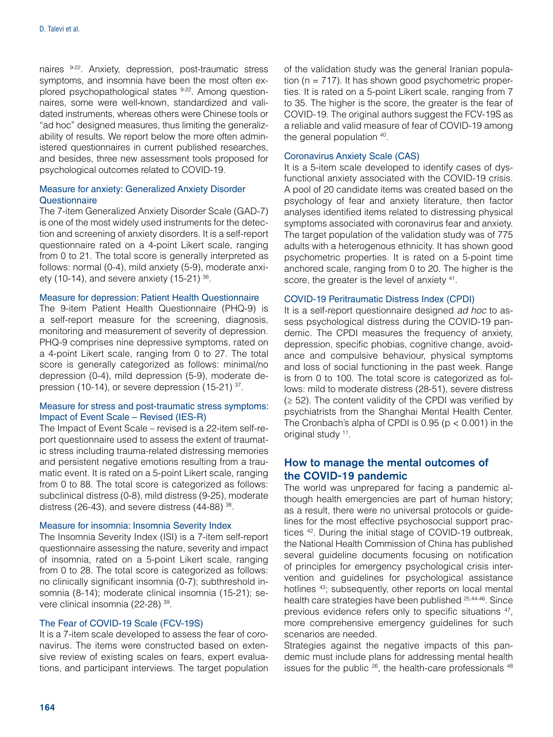naires 9-22. Anxiety, depression, post-traumatic stress symptoms, and insomnia have been the most often explored psychopathological states 9-22. Among questionnaires, some were well-known, standardized and validated instruments, whereas others were Chinese tools or "ad hoc" designed measures, thus limiting the generalizability of results. We report below the more often administered questionnaires in current published researches, and besides, three new assessment tools proposed for psychological outcomes related to COVID-19.

#### Measure for anxiety: Generalized Anxiety Disorder **Questionnaire**

The 7-item Generalized Anxiety Disorder Scale (GAD-7) is one of the most widely used instruments for the detection and screening of anxiety disorders. It is a self-report questionnaire rated on a 4-point Likert scale, ranging from 0 to 21. The total score is generally interpreted as follows: normal (0-4), mild anxiety (5-9), moderate anxiety (10-14), and severe anxiety (15-21)  $36$ .

#### Measure for depression: Patient Health Questionnaire

The 9-item Patient Health Questionnaire (PHQ-9) is a self-report measure for the screening, diagnosis, monitoring and measurement of severity of depression. PHQ-9 comprises nine depressive symptoms, rated on a 4-point Likert scale, ranging from 0 to 27. The total score is generally categorized as follows: minimal/no depression (0-4), mild depression (5-9), moderate depression (10-14), or severe depression (15-21) <sup>37</sup>.

## Measure for stress and post-traumatic stress symptoms: Impact of Event Scale – Revised (IES-R)

The Impact of Event Scale – revised is a 22-item self-report questionnaire used to assess the extent of traumatic stress including trauma-related distressing memories and persistent negative emotions resulting from a traumatic event. It is rated on a 5-point Likert scale, ranging from 0 to 88. The total score is categorized as follows: subclinical distress (0-8), mild distress (9-25), moderate distress (26-43), and severe distress (44-88) 38.

#### Measure for insomnia: Insomnia Severity Index

The Insomnia Severity Index (ISI) is a 7-item self-report questionnaire assessing the nature, severity and impact of insomnia, rated on a 5-point Likert scale, ranging from 0 to 28. The total score is categorized as follows: no clinically significant insomnia (0-7); subthreshold insomnia (8-14); moderate clinical insomnia (15-21); severe clinical insomnia (22-28) 39.

## The Fear of COVID-19 Scale (FCV-19S)

It is a 7-item scale developed to assess the fear of coronavirus. The items were constructed based on extensive review of existing scales on fears, expert evaluations, and participant interviews. The target population of the validation study was the general Iranian population  $(n = 717)$ . It has shown good psychometric properties. It is rated on a 5-point Likert scale, ranging from 7 to 35. The higher is the score, the greater is the fear of COVID-19. The original authors suggest the FCV-19S as a reliable and valid measure of fear of COVID-19 among the general population 40.

#### Coronavirus Anxiety Scale (CAS)

It is a 5-item scale developed to identify cases of dysfunctional anxiety associated with the COVID-19 crisis. A pool of 20 candidate items was created based on the psychology of fear and anxiety literature, then factor analyses identified items related to distressing physical symptoms associated with coronavirus fear and anxiety. The target population of the validation study was of 775 adults with a heterogenous ethnicity. It has shown good psychometric properties. It is rated on a 5-point time anchored scale, ranging from 0 to 20. The higher is the score, the greater is the level of anxiety  $41$ .

#### COVID-19 Peritraumatic Distress Index (CPDI)

It is a self-report questionnaire designed *ad hoc* to assess psychological distress during the COVID-19 pandemic. The CPDI measures the frequency of anxiety, depression, specific phobias, cognitive change, avoidance and compulsive behaviour, physical symptoms and loss of social functioning in the past week. Range is from 0 to 100. The total score is categorized as follows: mild to moderate distress (28-51), severe distress  $(≥ 52)$ . The content validity of the CPDI was verified by psychiatrists from the Shanghai Mental Health Center. The Cronbach's alpha of CPDI is  $0.95$  ( $p < 0.001$ ) in the original study 11.

# How to manage the mental outcomes of the COVID-19 pandemic

The world was unprepared for facing a pandemic although health emergencies are part of human history; as a result, there were no universal protocols or guidelines for the most effective psychosocial support practices 42. During the initial stage of COVID-19 outbreak, the National Health Commission of China has published several guideline documents focusing on notification of principles for emergency psychological crisis intervention and guidelines for psychological assistance hotlines <sup>43</sup>; subsequently, other reports on local mental health care strategies have been published 25,44-46. Since previous evidence refers only to specific situations 47, more comprehensive emergency guidelines for such scenarios are needed.

Strategies against the negative impacts of this pandemic must include plans for addressing mental health issues for the public <sup>26</sup>, the health-care professionals <sup>48</sup>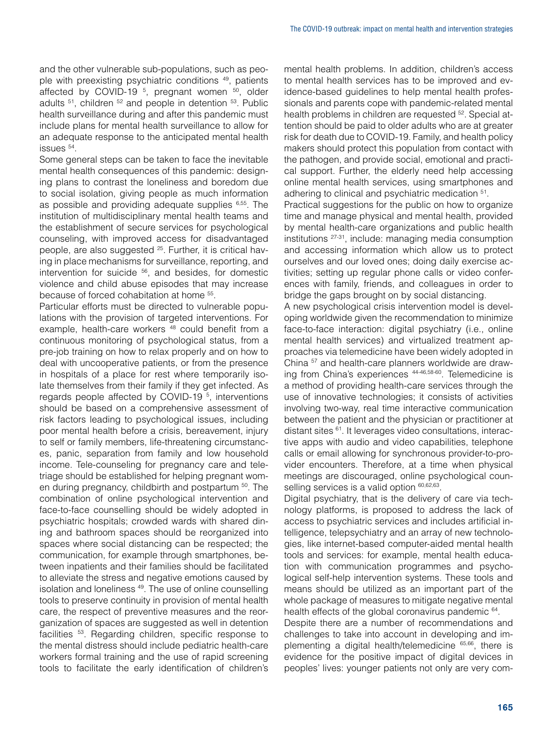and the other vulnerable sub-populations, such as people with preexisting psychiatric conditions 49, patients affected by COVID-19<sup>5</sup>, pregnant women<sup>50</sup>, older adults <sup>51</sup>, children <sup>52</sup> and people in detention <sup>53</sup>. Public health surveillance during and after this pandemic must include plans for mental health surveillance to allow for an adequate response to the anticipated mental health issues 54.

Some general steps can be taken to face the inevitable mental health consequences of this pandemic: designing plans to contrast the loneliness and boredom due to social isolation, giving people as much information as possible and providing adequate supplies 6,55. The institution of multidisciplinary mental health teams and the establishment of secure services for psychological counseling, with improved access for disadvantaged people, are also suggested <sup>25</sup>. Further, it is critical having in place mechanisms for surveillance, reporting, and intervention for suicide 56, and besides, for domestic violence and child abuse episodes that may increase because of forced cohabitation at home 55.

Particular efforts must be directed to vulnerable populations with the provision of targeted interventions. For example, health-care workers <sup>48</sup> could benefit from a continuous monitoring of psychological status, from a pre-job training on how to relax properly and on how to deal with uncooperative patients, or from the presence in hospitals of a place for rest where temporarily isolate themselves from their family if they get infected. As regards people affected by COVID-19<sup>5</sup>, interventions should be based on a comprehensive assessment of risk factors leading to psychological issues, including poor mental health before a crisis, bereavement, injury to self or family members, life-threatening circumstances, panic, separation from family and low household income. Tele-counseling for pregnancy care and teletriage should be established for helping pregnant women during pregnancy, childbirth and postpartum 50. The combination of online psychological intervention and face-to-face counselling should be widely adopted in psychiatric hospitals; crowded wards with shared dining and bathroom spaces should be reorganized into spaces where social distancing can be respected; the communication, for example through smartphones, between inpatients and their families should be facilitated to alleviate the stress and negative emotions caused by isolation and loneliness 49. The use of online counselling tools to preserve continuity in provision of mental health care, the respect of preventive measures and the reorganization of spaces are suggested as well in detention facilities 53. Regarding children, specific response to the mental distress should include pediatric health-care workers formal training and the use of rapid screening tools to facilitate the early identification of children's mental health problems. In addition, children's access to mental health services has to be improved and evidence-based guidelines to help mental health professionals and parents cope with pandemic-related mental health problems in children are requested <sup>52</sup>. Special attention should be paid to older adults who are at greater risk for death due to COVID-19. Family, and health policy makers should protect this population from contact with the pathogen, and provide social, emotional and practical support. Further, the elderly need help accessing online mental health services, using smartphones and adhering to clinical and psychiatric medication 51.

Practical suggestions for the public on how to organize time and manage physical and mental health, provided by mental health-care organizations and public health institutions 27-31, include: managing media consumption and accessing information which allow us to protect ourselves and our loved ones; doing daily exercise activities; setting up regular phone calls or video conferences with family, friends, and colleagues in order to bridge the gaps brought on by social distancing.

A new psychological crisis intervention model is developing worldwide given the recommendation to minimize face-to-face interaction: digital psychiatry (i.e., online mental health services) and virtualized treatment approaches via telemedicine have been widely adopted in China 57 and health-care planners worldwide are drawing from China's experiences 44-46,58-60. Telemedicine is a method of providing health-care services through the use of innovative technologies; it consists of activities involving two-way, real time interactive communication between the patient and the physician or practitioner at distant sites 61. It leverages video consultations, interactive apps with audio and video capabilities, telephone calls or email allowing for synchronous provider-to-provider encounters. Therefore, at a time when physical meetings are discouraged, online psychological counselling services is a valid option  $60,62,63$ .

Digital psychiatry, that is the delivery of care via technology platforms, is proposed to address the lack of access to psychiatric services and includes artificial intelligence, telepsychiatry and an array of new technologies, like internet-based computer-aided mental health tools and services: for example, mental health education with communication programmes and psychological self-help intervention systems. These tools and means should be utilized as an important part of the whole package of measures to mitigate negative mental health effects of the global coronavirus pandemic 64.

Despite there are a number of recommendations and challenges to take into account in developing and implementing a digital health/telemedicine 65,66, there is evidence for the positive impact of digital devices in peoples' lives: younger patients not only are very com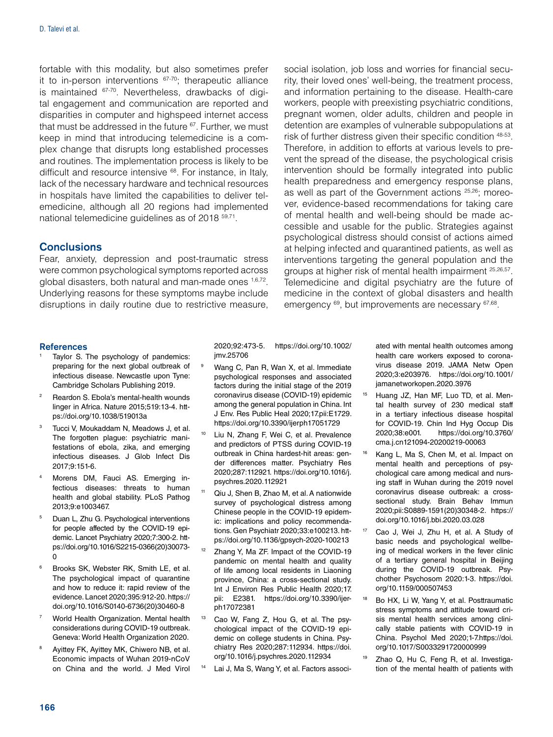fortable with this modality, but also sometimes prefer it to in-person interventions 67-70; therapeutic alliance is maintained 67-70. Nevertheless, drawbacks of digital engagement and communication are reported and disparities in computer and highspeed internet access that must be addressed in the future 67. Further, we must keep in mind that introducing telemedicine is a complex change that disrupts long established processes and routines. The implementation process is likely to be difficult and resource intensive 68. For instance, in Italy, lack of the necessary hardware and technical resources in hospitals have limited the capabilities to deliver telemedicine, although all 20 regions had implemented national telemedicine guidelines as of 2018 59,71.

## **Conclusions**

Fear, anxiety, depression and post-traumatic stress were common psychological symptoms reported across global disasters, both natural and man-made ones 1,6,72. Underlying reasons for these symptoms maybe include disruptions in daily routine due to restrictive measure, social isolation, job loss and worries for financial security, their loved ones' well-being, the treatment process, and information pertaining to the disease. Health-care workers, people with preexisting psychiatric conditions, pregnant women, older adults, children and people in detention are examples of vulnerable subpopulations at risk of further distress given their specific condition 48-53. Therefore, in addition to efforts at various levels to prevent the spread of the disease, the psychological crisis intervention should be formally integrated into public health preparedness and emergency response plans, as well as part of the Government actions 25,26; moreover, evidence-based recommendations for taking care of mental health and well-being should be made accessible and usable for the public. Strategies against psychological distress should consist of actions aimed at helping infected and quarantined patients, as well as interventions targeting the general population and the groups at higher risk of mental health impairment 25,26,57. Telemedicine and digital psychiatry are the future of medicine in the context of global disasters and health emergency  $^{69}$ , but improvements are necessary  $^{67,68}$ .

#### **References**

- Taylor S. The psychology of pandemics: preparing for the next global outbreak of infectious disease. Newcastle upon Tyne: Cambridge Scholars Publishing 2019.
- Reardon S. Ebola's mental-health wounds linger in Africa. Nature 2015;519:13-4. [htt](https://doi.org/10.1038/519013a)[ps://doi.org/10.1038/519013a](https://doi.org/10.1038/519013a)
- Tucci V, Moukaddam N, Meadows J, et al. The forgotten plague: psychiatric manifestations of ebola, zika, and emerging infectious diseases. J Glob Infect Dis 2017;9:151-6.
- Morens DM, Fauci AS. Emerging infectious diseases: threats to human health and global stability. PLoS Pathog 2013;9:e1003467.
- <sup>5</sup> Duan L, Zhu G. Psychological interventions for people affected by the COVID-19 epidemic. Lancet Psychiatry 2020;7:300-2. [htt](https://doi.org/10.1016/S2215-0366(20)30073-0)[ps://doi.org/10.1016/S2215-0366\(20\)30073-](https://doi.org/10.1016/S2215-0366(20)30073-0) [0](https://doi.org/10.1016/S2215-0366(20)30073-0)
- <sup>6</sup> Brooks SK, Webster RK, Smith LE, et al. The psychological impact of quarantine and how to reduce it: rapid review of the evidence. Lancet 2020;395:912-20. [https://](https://doi.org/10.1016/S0140-6736(20)30460-8) [doi.org/10.1016/S0140-6736\(20\)30460-8](https://doi.org/10.1016/S0140-6736(20)30460-8)
- <sup>7</sup> World Health Organization. Mental health considerations during COVID-19 outbreak. Geneva: World Health Organization 2020.
- Ayittey FK, Ayittey MK, Chiwero NB, et al. Economic impacts of Wuhan 2019-nCoV on China and the world. J Med Virol

2020;92:473-5. [https://doi.org/10.1002/](https://doi.org/10.1002/jmv.25706) [jmv.25706](https://doi.org/10.1002/jmv.25706)

- Wang C, Pan R, Wan X, et al. Immediate psychological responses and associated factors during the initial stage of the 2019 coronavirus disease (COVID-19) epidemic among the general population in China. Int J Env. Res Public Heal 2020;17.pii:E1729. <https://doi.org/10.3390/ijerph17051729>
- <sup>10</sup> Liu N, Zhang F, Wei C, et al. Prevalence and predictors of PTSS during COVID-19 outbreak in China hardest-hit areas: gender differences matter. Psychiatry Res 2020;287:112921. [https://doi.org/10.1016/j.](https://doi.org/10.1016/j.psychres.2020.112921) [psychres.2020.112921](https://doi.org/10.1016/j.psychres.2020.112921)
- <sup>11</sup> Qiu J, Shen B, Zhao M, et al. A nationwide survey of psychological distress among Chinese people in the COVID-19 epidemic: implications and policy recommendations. Gen Psychiatr 2020;33:e100213. [htt](https://doi.org/10.1136/gpsych-2020-100213)[ps://doi.org/10.1136/gpsych-2020-100213](https://doi.org/10.1136/gpsych-2020-100213)
- Zhang Y, Ma ZF. Impact of the COVID-19 pandemic on mental health and quality of life among local residents in Liaoning province, China: a cross-sectional study. Int J Environ Res Public Health 2020;17. pii: E2381. [https://doi.org/10.3390/ijer](https://doi.org/10.3390/ijerph17072381)[ph17072381](https://doi.org/10.3390/ijerph17072381)
- <sup>13</sup> Cao W, Fang Z, Hou G, et al. The psychological impact of the COVID-19 epidemic on college students in China. Psychiatry Res 2020;287:112934. [https://doi.](https://doi.org/10.1016/j.psychres.2020.112934) [org/10.1016/j.psychres.2020.112934](https://doi.org/10.1016/j.psychres.2020.112934)
- Lai J, Ma S, Wang Y, et al. Factors associ-

ated with mental health outcomes among health care workers exposed to coronavirus disease 2019. JAMA Netw Open 2020;3:e203976. [https://doi.org/10.1001/](https://doi.org/10.1001/jamanetworkopen.2020.3976) [jamanetworkopen.2020.3976](https://doi.org/10.1001/jamanetworkopen.2020.3976)

- <sup>15</sup> Huang JZ, Han MF, Luo TD, et al. Mental health survey of 230 medical staff in a tertiary infectious disease hospital for COVID-19. Chin Ind Hyg Occup Dis 2020;38:e001. [https://doi.org/10.3760/](https://doi.org/10.3760/cma.j.cn121094-20200219-00063) [cma.j.cn121094-20200219-00063](https://doi.org/10.3760/cma.j.cn121094-20200219-00063)
- Kang L, Ma S, Chen M, et al. Impact on mental health and perceptions of psychological care among medical and nursing staff in Wuhan during the 2019 novel coronavirus disease outbreak: a crosssectional study. Brain Behav Immun 2020;pii:S0889-1591(20)30348-2. [https://](https://doi.org/10.1016/j.bbi.2020.03.028) [doi.org/10.1016/j.bbi.2020.03.028](https://doi.org/10.1016/j.bbi.2020.03.028)
- Cao J, Wei J, Zhu H, et al. A Study of basic needs and psychological wellbeing of medical workers in the fever clinic of a tertiary general hospital in Beijing during the COVID-19 outbreak. Psychother Psychosom 2020:1-3. [https://doi.](https://doi.org/10.1159/000507453) [org/10.1159/000507453](https://doi.org/10.1159/000507453)
- <sup>18</sup> Bo HX, Li W, Yang Y, et al. Posttraumatic stress symptoms and attitude toward crisis mental health services among clinically stable patients with COVID-19 in China. Psychol Med 2020;1-7[.https://doi.](https://doi.org/10.1017/S0033291720000999) [org/10.1017/S0033291720000999](https://doi.org/10.1017/S0033291720000999)
- <sup>19</sup> Zhao Q, Hu C, Feng R, et al. Investigation of the mental health of patients with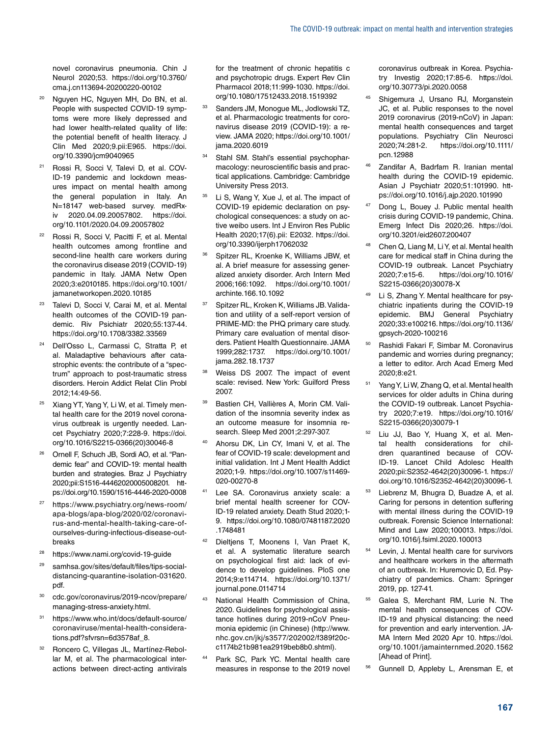novel coronavirus pneumonia. Chin J Neurol 2020;53. [https://doi.org/10.3760/](https://doi.org/10.3760/cma.j.cn113694-20200220-00102) [cma.j.cn113694-20200220-00102](https://doi.org/10.3760/cma.j.cn113694-20200220-00102)

- <sup>20</sup> Nguyen HC, Nguyen MH, Do BN, et al. People with suspected COVID-19 symptoms were more likely depressed and had lower health-related quality of life: the potential benefit of health literacy. J Clin Med 2020;9.pii:E965. [https://doi.](https://doi.org/10.3390/jcm9040965) [org/10.3390/jcm9040965](https://doi.org/10.3390/jcm9040965)
- <sup>21</sup> Rossi R, Socci V, Talevi D, et al. COV-ID-19 pandemic and lockdown measures impact on mental health among the general population in Italy. An N=18147 web-based survey. medRxiv 2020.04.09.20057802. [https://doi.](https://doi.org/10.1101/2020.04.09.20057802) [org/10.1101/2020.04.09.20057802](https://doi.org/10.1101/2020.04.09.20057802)
- <sup>22</sup> Rossi R, Socci V, Pacitti F, et al. Mental health outcomes among frontline and second-line health care workers during the coronavirus disease 2019 (COVID-19) pandemic in Italy. JAMA Netw Open 2020;3:e2010185. https://doi.org/10.1001/ jamanetworkopen.2020.10185
- <sup>23</sup> Talevi D, Socci V, Carai M, et al. Mental health outcomes of the COVID-19 pandemic. Riv Psichiatr 2020;55:137-44. https://doi.org/10.1708/3382.33569
- <sup>24</sup> Dell'Osso L, Carmassi C, Stratta P, et al. Maladaptive behaviours after catastrophic events: the contribute of a "spectrum" approach to post-traumatic stress disorders. Heroin Addict Relat Clin Probl 2012;14:49-56.
- <sup>25</sup> Xiang YT, Yang Y, Li W, et al. Timely mental health care for the 2019 novel coronavirus outbreak is urgently needed. Lancet Psychiatry 2020;7:228-9. [https://doi.](https://doi.org/10.1016/S2215-0366(20)30046-8) [org/10.1016/S2215-0366\(20\)30046-8](https://doi.org/10.1016/S2215-0366(20)30046-8)
- <sup>26</sup> Ornell F, Schuch JB, Sordi AO, et al. "Pandemic fear" and COVID-19: mental health burden and strategies. Braz J Psychiatry 2020;pii:S1516-44462020005008201. [htt](https://doi.org/10.1590/1516-4446-2020-0008)[ps://doi.org/10.1590/1516-4446-2020-0008](https://doi.org/10.1590/1516-4446-2020-0008)
- <sup>27</sup> [https://www.psychiatry.org/news-room/](https://www.psychiatry.org/news-room/apa-blogs/apa-blog/2020/02/coronavirus-and-mental-health-taking-care-of-ourselves-during-infectious-disease-outbreaks) [apa-blogs/apa-blog/2020/02/coronavi](https://www.psychiatry.org/news-room/apa-blogs/apa-blog/2020/02/coronavirus-and-mental-health-taking-care-of-ourselves-during-infectious-disease-outbreaks)[rus-and-mental-health-taking-care-of](https://www.psychiatry.org/news-room/apa-blogs/apa-blog/2020/02/coronavirus-and-mental-health-taking-care-of-ourselves-during-infectious-disease-outbreaks)[ourselves-during-infectious-disease-out](https://www.psychiatry.org/news-room/apa-blogs/apa-blog/2020/02/coronavirus-and-mental-health-taking-care-of-ourselves-during-infectious-disease-outbreaks)[breaks](https://www.psychiatry.org/news-room/apa-blogs/apa-blog/2020/02/coronavirus-and-mental-health-taking-care-of-ourselves-during-infectious-disease-outbreaks)
- <sup>28</sup> <https://www.nami.org/covid-19-guide>
- [samhsa.gov/sites/default/files/tips-social](http://samhsa.gov/sites/default/files/tips-social-distancing-quarantine-isolation-031620.pdf.)[distancing-quarantine-isolation-031620.](http://samhsa.gov/sites/default/files/tips-social-distancing-quarantine-isolation-031620.pdf.) [pdf.](http://samhsa.gov/sites/default/files/tips-social-distancing-quarantine-isolation-031620.pdf.)
- <sup>30</sup> [cdc.gov/coronavirus/2019-ncov/prepare/](http://cdc.gov/coronavirus/2019-ncov/prepare/managing-stress-anxiety.html.) [managing-stress-anxiety.html.](http://cdc.gov/coronavirus/2019-ncov/prepare/managing-stress-anxiety.html.)
- <sup>31</sup> [https://www.who.int/docs/default-source/](https://www.who.int/docs/default-source/coronaviruse/mental-health-considerations.pdf?sfvrsn=6d3578af_8.) [coronaviruse/mental-health-considera](https://www.who.int/docs/default-source/coronaviruse/mental-health-considerations.pdf?sfvrsn=6d3578af_8.)[tions.pdf?sfvrsn=6d3578af\\_8.](https://www.who.int/docs/default-source/coronaviruse/mental-health-considerations.pdf?sfvrsn=6d3578af_8.)
- <sup>32</sup> Roncero C, Villegas JL, Martínez-Rebollar M, et al. The pharmacological interactions between direct-acting antivirals

for the treatment of chronic hepatitis c and psychotropic drugs. Expert Rev Clin Pharmacol 2018;11:999-1030. [https://doi.](https://doi.org/10.1080/17512433.2018.1519392) [org/10.1080/17512433.2018.1519392](https://doi.org/10.1080/17512433.2018.1519392)

- <sup>33</sup> Sanders JM, Monogue ML, Jodlowski TZ, et al. Pharmacologic treatments for coronavirus disease 2019 (COVID-19): a review. JAMA 2020; [https://doi.org/10.1001/](https://doi.org/10.1001/jama.2020.6019) [jama.2020.6019](https://doi.org/10.1001/jama.2020.6019)
- 34 Stahl SM. Stahl's essential psychopharmacology: neuroscientific basis and practical applications. Cambridge: Cambridge University Press 2013.
- <sup>35</sup> Li S, Wang Y, Xue J, et al. The impact of COVID-19 epidemic declaration on psychological consequences: a study on active weibo users. Int J Environ Res Public Health 2020;17(6).pii: E2032. [https://doi.](https://doi.org/10.3390/ijerph17062032) [org/10.3390/ijerph17062032](https://doi.org/10.3390/ijerph17062032)
- <sup>36</sup> Spitzer RL, Kroenke K, Williams JBW, et al. A brief measure for assessing generalized anxiety disorder. Arch Intern Med 2006;166:1092. [https://doi.org/10.1001/](https://doi.org/10.1001/archinte.166.10.1092) [archinte.166.10.1092](https://doi.org/10.1001/archinte.166.10.1092)
- <sup>37</sup> Spitzer RL, Kroken K, Williams JB. Validation and utility of a self-report version of PRIME-MD: the PHQ primary care study. Primary care evaluation of mental disorders. Patient Health Questionnaire. JAMA 1999;282:1737. [https://doi.org/10.1001/](https://doi.org/10.1001/jama.282.18.1737) [jama.282.18.1737](https://doi.org/10.1001/jama.282.18.1737)
- <sup>38</sup> Weiss DS 2007. The impact of event scale: revised. New York: Guilford Press 2007.
- <sup>39</sup> Bastien CH, Vallières A, Morin CM. Validation of the insomnia severity index as an outcome measure for insomnia research. Sleep Med 2001;2:297-307.
- <sup>40</sup> Ahorsu DK, Lin CY, Imani V, et al. The fear of COVID-19 scale: development and initial validation. Int J Ment Health Addict 2020;1-9. [https://doi.org/10.1007/s11469-](https://doi.org/10.1007/s11469-020-00270-8) [020-00270-8](https://doi.org/10.1007/s11469-020-00270-8)
- <sup>41</sup> Lee SA. Coronavirus anxiety scale: a brief mental health screener for COV-ID-19 related anxiety. Death Stud 2020;1- 9. [https://doi.org/10.1080/07481187.2020](https://doi.org/10.1080/07481187.2020.1748481) [.1748481](https://doi.org/10.1080/07481187.2020.1748481)
- Dieltjens T, Moonens I, Van Praet K, et al. A systematic literature search on psychological first aid: lack of evidence to develop guidelines. PloS one 2014;9:e114714. [https://doi.org/10.1371/](https://doi.org/10.1371/journal.pone.0114714) [journal.pone.0114714](https://doi.org/10.1371/journal.pone.0114714)
- <sup>43</sup> National Health Commission of China, 2020. Guidelines for psychological assistance hotlines during 2019-nCoV Pneumonia epidemic (in Chinese) [\(http://www.](http://www.nhc.gov.cn/jkj/s3577/202002/f389f20cc1174b21b981ea2919beb8b0.shtml).) [nhc.gov.cn/jkj/s3577/202002/f389f20c](http://www.nhc.gov.cn/jkj/s3577/202002/f389f20cc1174b21b981ea2919beb8b0.shtml).)[c1174b21b981ea2919beb8b0.shtml\).](http://www.nhc.gov.cn/jkj/s3577/202002/f389f20cc1174b21b981ea2919beb8b0.shtml).)
- <sup>44</sup> Park SC, Park YC. Mental health care measures in response to the 2019 novel

coronavirus outbreak in Korea. Psychiatry Investig 2020;17:85-6. [https://doi.](https://doi.org/10.30773/pi.2020.0058) [org/10.30773/pi.2020.0058](https://doi.org/10.30773/pi.2020.0058)

- <sup>45</sup> Shigemura J, Ursano RJ, Morganstein JC, et al. Public responses to the novel 2019 coronavirus (2019-nCoV) in Japan: mental health consequences and target populations. Psychiatry Clin Neurosci<br>2020:74:281-2. https://doi.org/10.1111/ 2020;74:281-2. [https://doi.org/10.1111/](https://doi.org/10.1111/pcn.12988) [pcn.12988](https://doi.org/10.1111/pcn.12988)
- <sup>46</sup> Zandifar A, Badrfam R. Iranian mental health during the COVID-19 epidemic. Asian J Psychiatr 2020;51:101990. [htt](https://doi.org/10.1016/j.ajp.2020.101990)[ps://doi.org/10.1016/j.ajp.2020.101990](https://doi.org/10.1016/j.ajp.2020.101990)
- <sup>47</sup> Dong L, Bouey J. Public mental health crisis during COVID-19 pandemic, China. Emerg Infect Dis 2020;26. [https://doi.](https://doi.org/10.3201/eid2607.200407) [org/10.3201/eid2607.200407](https://doi.org/10.3201/eid2607.200407)
- <sup>48</sup> Chen Q, Liang M, Li Y, et al. Mental health care for medical staff in China during the COVID-19 outbreak. Lancet Psychiatry 2020;7:e15-6. [https://doi.org/10.1016/](https://doi.org/10.1016/S2215-0366(20)30078-X) [S2215-0366\(20\)30078-X](https://doi.org/10.1016/S2215-0366(20)30078-X)
- <sup>49</sup> Li S, Zhang Y. Mental healthcare for psychiatric inpatients during the COVID-19 epidemic. BMJ General Psychiatry 2020;33:e100216. [https://doi.org/10.1136/](https://doi.org/10.1136/gpsych-2020-100216) [gpsych-2020-100216](https://doi.org/10.1136/gpsych-2020-100216)
- <sup>50</sup> Rashidi Fakari F, Simbar M. Coronavirus pandemic and worries during pregnancy; a letter to editor. Arch Acad Emerg Med 2020;8:e21.
- <sup>51</sup> Yang Y, Li W, Zhang Q, et al. Mental health services for older adults in China during the COVID-19 outbreak. Lancet Psychiatry 2020;7:e19. [https://doi.org/10.1016/](https://doi.org/10.1016/S2215-0366(20)30079-1) [S2215-0366\(20\)30079-1](https://doi.org/10.1016/S2215-0366(20)30079-1)
- <sup>52</sup> Liu JJ, Bao Y, Huang X, et al. Mental health considerations for children quarantined because of COV-ID-19. Lancet Child Adolesc Health 2020;pii:S2352-4642(20)30096-1. [https://](https://doi.org/10.1016/S2352-4642(20)30096-1.) [doi.org/10.1016/S2352-4642\(20\)30096-1.](https://doi.org/10.1016/S2352-4642(20)30096-1.)
- <sup>53</sup> Liebrenz M, Bhugra D, Buadze A, et al. Caring for persons in detention suffering with mental illness during the COVID-19 outbreak. Forensic Science International: Mind and Law 2020;100013. [https://doi.](https://doi.org/10.1016/j.fsiml.2020.100013) [org/10.1016/j.fsiml.2020.100013](https://doi.org/10.1016/j.fsiml.2020.100013)
- <sup>54</sup> Levin, J. Mental health care for survivors and healthcare workers in the aftermath of an outbreak. In: Huremovic D, Ed. Psychiatry of pandemics. Cham: Springer 2019, pp. 127-41.
- <sup>55</sup> Galea S, Merchant RM, Lurie N. The mental health consequences of COV-ID-19 and physical distancing: the need for prevention and early intervention. JA-MA Intern Med 2020 Apr 10. [https://doi.](https://doi.org/10.1001/jamainternmed.2020.1562) [org/10.1001/jamainternmed.2020.1562](https://doi.org/10.1001/jamainternmed.2020.1562)  [Ahead of Print].
- <sup>56</sup> Gunnell D, Appleby L, Arensman E, et